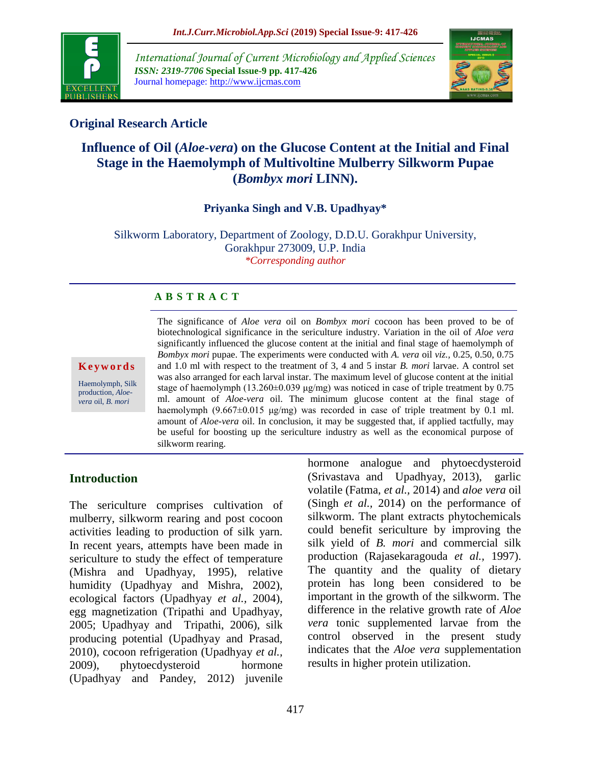

*International Journal of Current Microbiology and Applied Sciences ISSN: 2319-7706* **Special Issue-9 pp. 417-426** Journal homepage: http://www.ijcmas.com



# **Original Research Article**

# **Influence of Oil (***Aloe-vera***) on the Glucose Content at the Initial and Final Stage in the Haemolymph of Multivoltine Mulberry Silkworm Pupae (***Bombyx mori* **LINN).**

### **Priyanka Singh and V.B. Upadhyay\***

Silkworm Laboratory, Department of Zoology, D.D.U. Gorakhpur University, Gorakhpur 273009, U.P. India *\*Corresponding author*

# **A B S T R A C T**

**K e y w o r d s**

Haemolymph, Silk production, *Aloevera* oil, *B. mori*

The significance of *Aloe vera* oil on *Bombyx mori* cocoon has been proved to be of biotechnological significance in the sericulture industry. Variation in the oil of *Aloe vera* significantly influenced the glucose content at the initial and final stage of haemolymph of *Bombyx mori* pupae. The experiments were conducted with *A. vera* oil *viz.,* 0.25, 0.50, 0.75 and 1.0 ml with respect to the treatment of 3, 4 and 5 instar *B. mori* larvae. A control set was also arranged for each larval instar. The maximum level of glucose content at the initial stage of haemolymph (13.260 $\pm$ 0.039 μg/mg) was noticed in case of triple treatment by 0.75 ml. amount of *Aloe-vera* oil. The minimum glucose content at the final stage of haemolymph  $(9.667 \pm 0.015 \text{ µg/mg})$  was recorded in case of triple treatment by 0.1 ml. amount of *Aloe-vera* oil. In conclusion, it may be suggested that, if applied tactfully, may be useful for boosting up the sericulture industry as well as the economical purpose of silkworm rearing.

# **Introduction**

The sericulture comprises cultivation of mulberry, silkworm rearing and post cocoon activities leading to production of silk yarn. In recent years, attempts have been made in sericulture to study the effect of temperature (Mishra and Upadhyay, 1995), relative humidity (Upadhyay and Mishra, 2002), ecological factors (Upadhyay *et al.,* 2004), egg magnetization (Tripathi and Upadhyay, 2005; Upadhyay and Tripathi, 2006), silk producing potential (Upadhyay and Prasad, 2010), cocoon refrigeration (Upadhyay *et al.,*  2009), phytoecdysteroid hormone (Upadhyay and Pandey, 2012) juvenile

hormone analogue and phytoecdysteroid (Srivastava and Upadhyay, 2013), garlic volatile (Fatma, *et al.,* 2014) and *aloe vera* oil (Singh *et al.,* 2014) on the performance of silkworm. The plant extracts phytochemicals could benefit sericulture by improving the silk yield of *B. mori* and commercial silk production (Rajasekaragouda *et al.,* 1997). The quantity and the quality of dietary protein has long been considered to be important in the growth of the silkworm. The difference in the relative growth rate of *Aloe vera* tonic supplemented larvae from the control observed in the present study indicates that the *Aloe vera* supplementation results in higher protein utilization.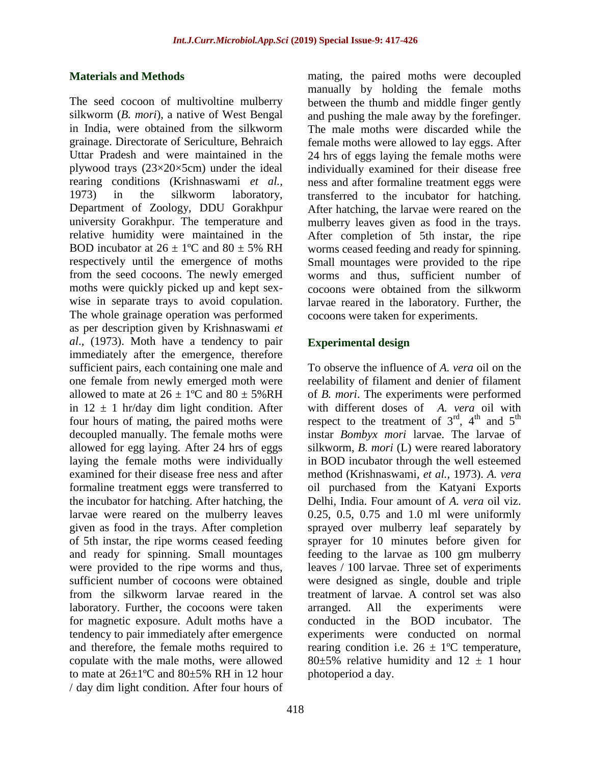#### **Materials and Methods**

The seed cocoon of multivoltine mulberry silkworm (*B. mori*), a native of West Bengal in India, were obtained from the silkworm grainage. Directorate of Sericulture, Behraich Uttar Pradesh and were maintained in the plywood trays (23×20×5cm) under the ideal rearing conditions (Krishnaswami *et al.,*  1973) in the silkworm laboratory, Department of Zoology, DDU Gorakhpur university Gorakhpur. The temperature and relative humidity were maintained in the BOD incubator at  $26 \pm 1$ <sup>o</sup>C and  $80 \pm 5$ % RH respectively until the emergence of moths from the seed cocoons. The newly emerged moths were quickly picked up and kept sexwise in separate trays to avoid copulation. The whole grainage operation was performed as per description given by Krishnaswami *et al*., (1973). Moth have a tendency to pair immediately after the emergence, therefore sufficient pairs, each containing one male and one female from newly emerged moth were allowed to mate at  $26 \pm 1$ <sup>o</sup>C and  $80 \pm 5\%$  RH in  $12 \pm 1$  hr/day dim light condition. After four hours of mating, the paired moths were decoupled manually. The female moths were allowed for egg laying. After 24 hrs of eggs laying the female moths were individually examined for their disease free ness and after formaline treatment eggs were transferred to the incubator for hatching. After hatching, the larvae were reared on the mulberry leaves given as food in the trays. After completion of 5th instar, the ripe worms ceased feeding and ready for spinning. Small mountages were provided to the ripe worms and thus, sufficient number of cocoons were obtained from the silkworm larvae reared in the laboratory. Further, the cocoons were taken for magnetic exposure. Adult moths have a tendency to pair immediately after emergence and therefore, the female moths required to copulate with the male moths, were allowed to mate at  $26\pm1$ °C and  $80\pm5$ % RH in 12 hour / day dim light condition. After four hours of

mating, the paired moths were decoupled manually by holding the female moths between the thumb and middle finger gently and pushing the male away by the forefinger. The male moths were discarded while the female moths were allowed to lay eggs. After 24 hrs of eggs laying the female moths were individually examined for their disease free ness and after formaline treatment eggs were transferred to the incubator for hatching. After hatching, the larvae were reared on the mulberry leaves given as food in the trays. After completion of 5th instar, the ripe worms ceased feeding and ready for spinning. Small mountages were provided to the ripe worms and thus, sufficient number of cocoons were obtained from the silkworm larvae reared in the laboratory. Further, the cocoons were taken for experiments.

### **Experimental design**

To observe the influence of *A. vera* oil on the reelability of filament and denier of filament of *B. mori*. The experiments were performed with different doses of *A. vera* oil with respect to the treatment of  $3<sup>rd</sup>$ ,  $4<sup>th</sup>$  and  $5<sup>th</sup>$ instar *Bombyx mori* larvae. The larvae of silkworm, *B. mori* (L) were reared laboratory in BOD incubator through the well esteemed method (Krishnaswami, *et al.,* 1973). *A. vera* oil purchased from the Katyani Exports Delhi, India. Four amount of *A. vera* oil viz. 0.25, 0.5, 0.75 and 1.0 ml were uniformly sprayed over mulberry leaf separately by sprayer for 10 minutes before given for feeding to the larvae as 100 gm mulberry leaves / 100 larvae. Three set of experiments were designed as single, double and triple treatment of larvae. A control set was also arranged. All the experiments were conducted in the BOD incubator. The experiments were conducted on normal rearing condition i.e.  $26 \pm 1$ °C temperature, 80 $\pm$ 5% relative humidity and 12  $\pm$  1 hour photoperiod a day.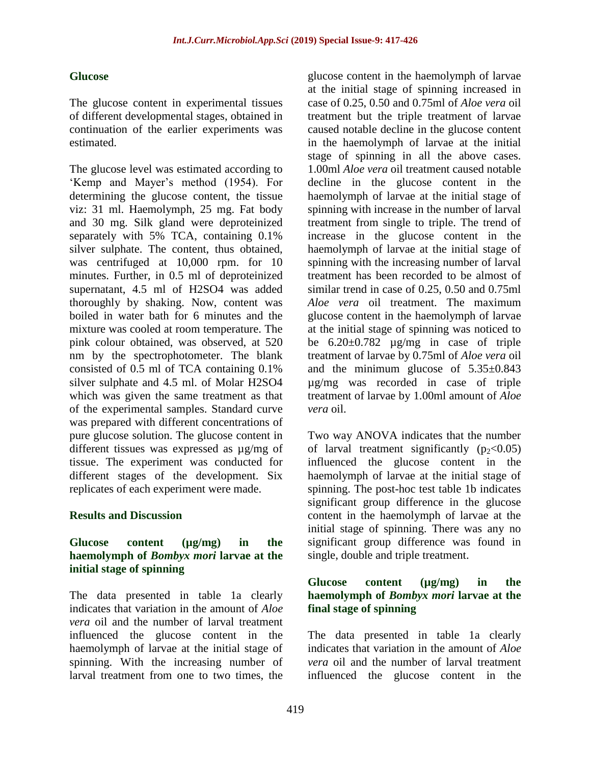### **Glucose**

The glucose content in experimental tissues of different developmental stages, obtained in continuation of the earlier experiments was estimated.

The glucose level was estimated according to "Kemp and Mayer"s method (1954). For determining the glucose content, the tissue viz: 31 ml. Haemolymph, 25 mg. Fat body and 30 mg. Silk gland were deproteinized separately with 5% TCA, containing 0.1% silver sulphate. The content, thus obtained, was centrifuged at 10,000 rpm. for 10 minutes. Further, in 0.5 ml of deproteinized supernatant, 4.5 ml of H2SO4 was added thoroughly by shaking. Now, content was boiled in water bath for 6 minutes and the mixture was cooled at room temperature. The pink colour obtained, was observed, at 520 nm by the spectrophotometer. The blank consisted of 0.5 ml of TCA containing 0.1% silver sulphate and 4.5 ml. of Molar H2SO4 which was given the same treatment as that of the experimental samples. Standard curve was prepared with different concentrations of pure glucose solution. The glucose content in different tissues was expressed as µg/mg of tissue. The experiment was conducted for different stages of the development. Six replicates of each experiment were made.

### **Results and Discussion**

### **Glucose content (µg/mg) in the haemolymph of** *Bombyx mori* **larvae at the initial stage of spinning**

The data presented in table 1a clearly indicates that variation in the amount of *Aloe vera* oil and the number of larval treatment influenced the glucose content in the haemolymph of larvae at the initial stage of spinning. With the increasing number of larval treatment from one to two times, the

glucose content in the haemolymph of larvae at the initial stage of spinning increased in case of 0.25, 0.50 and 0.75ml of *Aloe vera* oil treatment but the triple treatment of larvae caused notable decline in the glucose content in the haemolymph of larvae at the initial stage of spinning in all the above cases. 1.00ml *Aloe vera* oil treatment caused notable decline in the glucose content in the haemolymph of larvae at the initial stage of spinning with increase in the number of larval treatment from single to triple. The trend of increase in the glucose content in the haemolymph of larvae at the initial stage of spinning with the increasing number of larval treatment has been recorded to be almost of similar trend in case of 0.25, 0.50 and 0.75ml *Aloe vera* oil treatment. The maximum glucose content in the haemolymph of larvae at the initial stage of spinning was noticed to be  $6.20 \pm 0.782$   $\mu$ g/mg in case of triple treatment of larvae by 0.75ml of *Aloe vera* oil and the minimum glucose of  $5.35\pm0.843$ µg/mg was recorded in case of triple treatment of larvae by 1.00ml amount of *Aloe vera* oil.

Two way ANOVA indicates that the number of larval treatment significantly  $(p_2<0.05)$ influenced the glucose content in the haemolymph of larvae at the initial stage of spinning. The post-hoc test table 1b indicates significant group difference in the glucose content in the haemolymph of larvae at the initial stage of spinning. There was any no significant group difference was found in single, double and triple treatment.

#### **Glucose content (µg/mg) in the haemolymph of** *Bombyx mori* **larvae at the final stage of spinning**

The data presented in table 1a clearly indicates that variation in the amount of *Aloe vera* oil and the number of larval treatment influenced the glucose content in the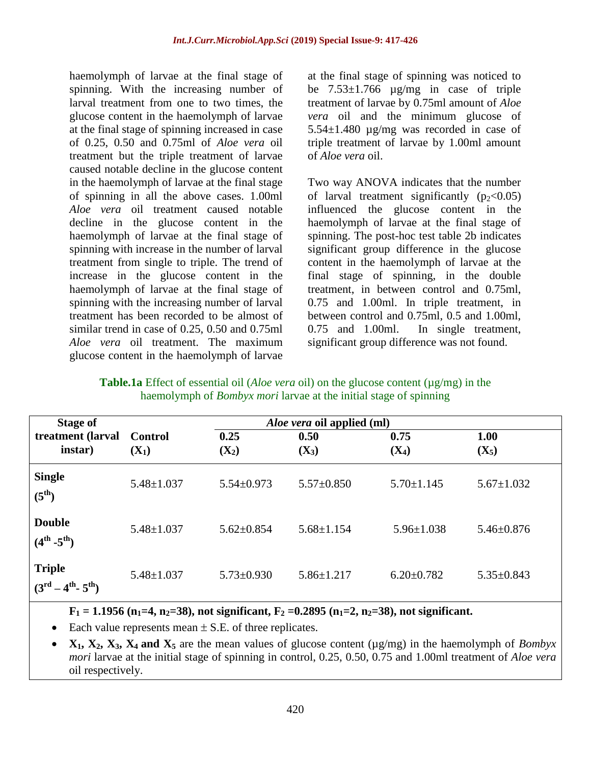haemolymph of larvae at the final stage of spinning. With the increasing number of larval treatment from one to two times, the glucose content in the haemolymph of larvae at the final stage of spinning increased in case of 0.25, 0.50 and 0.75ml of *Aloe vera* oil treatment but the triple treatment of larvae caused notable decline in the glucose content in the haemolymph of larvae at the final stage of spinning in all the above cases. 1.00ml *Aloe vera* oil treatment caused notable decline in the glucose content in the haemolymph of larvae at the final stage of spinning with increase in the number of larval treatment from single to triple. The trend of increase in the glucose content in the haemolymph of larvae at the final stage of spinning with the increasing number of larval treatment has been recorded to be almost of similar trend in case of 0.25, 0.50 and 0.75ml *Aloe vera* oil treatment. The maximum glucose content in the haemolymph of larvae at the final stage of spinning was noticed to be  $7.53\pm1.766$  ug/mg in case of triple treatment of larvae by 0.75ml amount of *Aloe vera* oil and the minimum glucose of 5.54±1.480 µg/mg was recorded in case of triple treatment of larvae by 1.00ml amount of *Aloe vera* oil.

Two way ANOVA indicates that the number of larval treatment significantly  $(p_2<0.05)$ influenced the glucose content in the haemolymph of larvae at the final stage of spinning. The post-hoc test table 2b indicates significant group difference in the glucose content in the haemolymph of larvae at the final stage of spinning, in the double treatment, in between control and 0.75ml, 0.75 and 1.00ml. In triple treatment, in between control and 0.75ml, 0.5 and 1.00ml, 0.75 and 1.00ml. In single treatment, significant group difference was not found.

**Table.1a** Effect of essential oil (*Aloe vera* oil) on the glucose content (µg/mg) in the haemolymph of *Bombyx mori* larvae at the initial stage of spinning

| <b>Stage of</b>                                              | <i>Aloe vera</i> oil applied (ml) |                  |                  |                  |                  |
|--------------------------------------------------------------|-----------------------------------|------------------|------------------|------------------|------------------|
| treatment (larval<br>instar)                                 | Control<br>$(X_1)$                | 0.25<br>$(X_2)$  | 0.50<br>$(X_3)$  | 0.75<br>$(X_4)$  | 1.00<br>$(X_5)$  |
| <b>Single</b><br>$(5^{\text{th}})$                           | $5.48 \pm 1.037$                  | $5.54 \pm 0.973$ | $5.57 \pm 0.850$ | $5.70 \pm 1.145$ | $5.67 \pm 1.032$ |
| <b>Double</b><br>$(4^{th} -5^{th})$                          | $5.48 \pm 1.037$                  | $5.62 \pm 0.854$ | $5.68 \pm 1.154$ | $5.96 \pm 1.038$ | $5.46 \pm 0.876$ |
| <b>Triple</b><br>$(3^{rd}$<br>$-4^{\rm th}$ - $5^{\rm th}$ ) | $5.48 \pm 1.037$                  | $5.73 \pm 0.930$ | $5.86 \pm 1.217$ | $6.20 \pm 0.782$ | $5.35 \pm 0.843$ |

**F**<sub>1</sub> = 1.1956 ( $n_1$ =4,  $n_2$ =38), not significant,  $F_2$  =0.2895 ( $n_1$ =2,  $n_2$ =38), not significant.

Each value represents mean  $\pm$  S.E. of three replicates.

 $X_1, X_2, X_3, X_4$  and  $X_5$  are the mean values of glucose content ( $\mu$ g/mg) in the haemolymph of *Bombyx mori* larvae at the initial stage of spinning in control, 0.25, 0.50, 0.75 and 1.00ml treatment of *Aloe vera* oil respectively.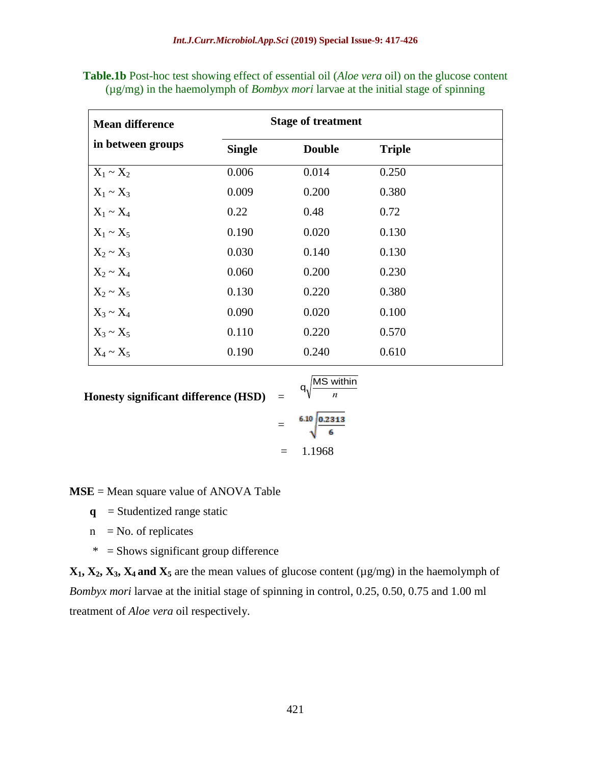| <b>Mean difference</b> |               | <b>Stage of treatment</b> |               |  |  |
|------------------------|---------------|---------------------------|---------------|--|--|
| in between groups      | <b>Single</b> | <b>Double</b>             | <b>Triple</b> |  |  |
| $X_1 \sim X_2$         | 0.006         | 0.014                     | 0.250         |  |  |
| $X_1 \sim X_3$         | 0.009         | 0.200                     | 0.380         |  |  |
| $X_1 \sim X_4$         | 0.22          | 0.48                      | 0.72          |  |  |
| $X_1 \sim X_5$         | 0.190         | 0.020                     | 0.130         |  |  |
| $X_2 \sim X_3$         | 0.030         | 0.140                     | 0.130         |  |  |
| $X_2 \sim X_4$         | 0.060         | 0.200                     | 0.230         |  |  |
| $X_2 \sim X_5$         | 0.130         | 0.220                     | 0.380         |  |  |
| $X_3 \sim X_4$         | 0.090         | 0.020                     | 0.100         |  |  |
| $X_3 \sim X_5$         | 0.110         | 0.220                     | 0.570         |  |  |
| $X_4 \sim X_5$         | 0.190         | 0.240                     | 0.610         |  |  |

**Table.1b** Post-hoc test showing effect of essential oil (*Aloe vera* oil) on the glucose content (µg/mg) in the haemolymph of *Bombyx mori* larvae at the initial stage of spinning

**Honesty significant difference (HSD)** =

Honesty significant difference (HSD) = 
$$
q\sqrt{\frac{MS \text{ within}}{n}}
$$
  
=  $\frac{6.10 \text{ }0.2313}{6.25 \text{ m}}$ 

 $= 1.1968$ 

**MSE** = Mean square value of ANOVA Table

- $q$  = Studentized range static
- $n = No.$  of replicates
- \* = Shows significant group difference

 $X_1, X_2, X_3, X_4$  and  $X_5$  are the mean values of glucose content ( $\mu$ g/mg) in the haemolymph of *Bombyx mori* larvae at the initial stage of spinning in control, 0.25, 0.50, 0.75 and 1.00 ml treatment of *Aloe vera* oil respectively.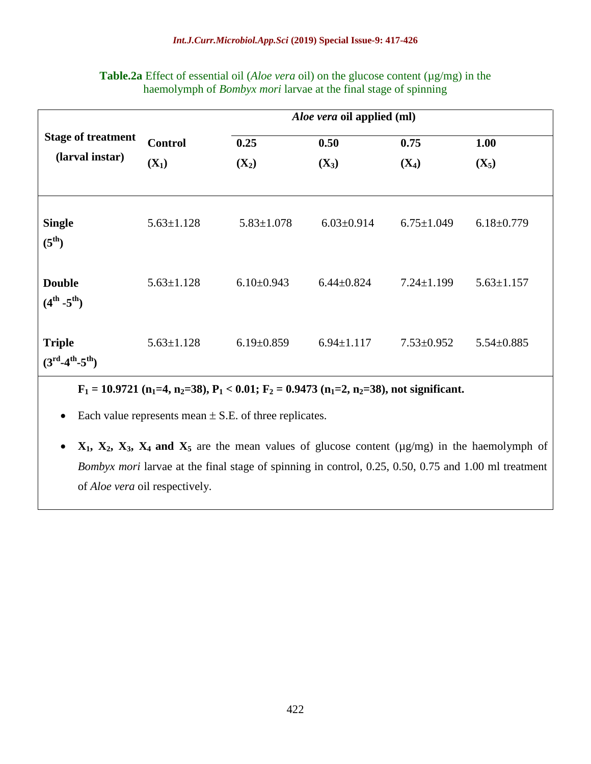|                                     |                  |                  | <i>Aloe vera</i> oil applied (ml) |                  |                  |
|-------------------------------------|------------------|------------------|-----------------------------------|------------------|------------------|
| <b>Stage of treatment</b>           | <b>Control</b>   | 0.25             | 0.50                              | 0.75             | 1.00             |
| (larval instar)                     | $(X_1)$          | $(X_2)$          | $(X_3)$                           | $(X_4)$          | $(X_5)$          |
|                                     |                  |                  |                                   |                  |                  |
| <b>Single</b><br>$(5^{\text{th}})$  | $5.63 \pm 1.128$ | $5.83 \pm 1.078$ | $6.03 \pm 0.914$                  | $6.75 \pm 1.049$ | $6.18 \pm 0.779$ |
| <b>Double</b><br>$(4^{th} -5^{th})$ | $5.63 \pm 1.128$ | $6.10\pm0.943$   | $6.44 \pm 0.824$                  | $7.24 \pm 1.199$ | $5.63 \pm 1.157$ |
| <b>Triple</b><br>$(3rd-4th-5th)$    | $5.63 \pm 1.128$ | $6.19 \pm 0.859$ | $6.94 \pm 1.117$                  | $7.53 \pm 0.952$ | $5.54 \pm 0.885$ |

**Table.2a** Effect of essential oil (*Aloe vera* oil) on the glucose content ( $\mu$ g/mg) in the haemolymph of *Bombyx mori* larvae at the final stage of spinning

**F<sup>1</sup> = 10.9721 (n1=4, n2=38), P<sup>1</sup> < 0.01; F<sup>2</sup> = 0.9473 (n1=2, n2=38), not significant.** 

• Each value represents mean  $\pm$  S.E. of three replicates.

**•**  $X_1$ ,  $X_2$ ,  $X_3$ ,  $X_4$  and  $X_5$  are the mean values of glucose content ( $\mu$ g/mg) in the haemolymph of *Bombyx mori* larvae at the final stage of spinning in control, 0.25, 0.50, 0.75 and 1.00 ml treatment of *Aloe vera* oil respectively.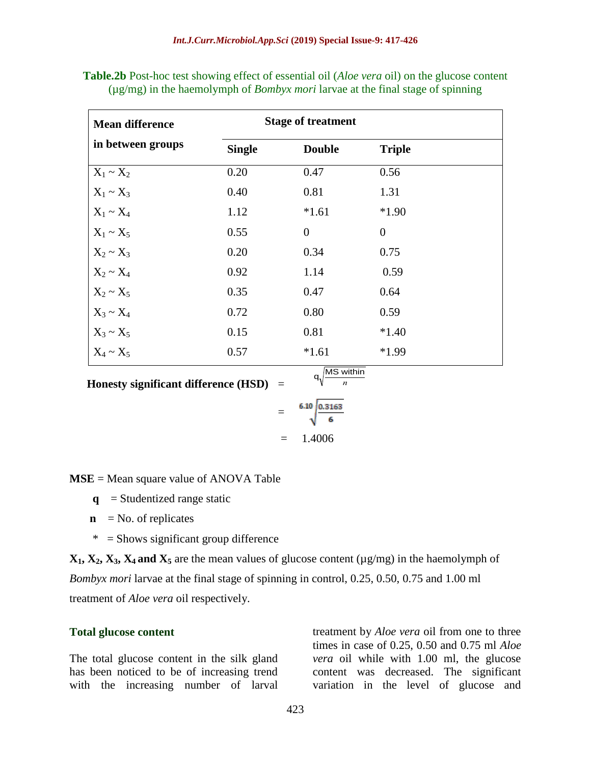| <b>Mean difference</b> | <b>Stage of treatment</b> |                  |                |
|------------------------|---------------------------|------------------|----------------|
| in between groups      | <b>Single</b>             | <b>Double</b>    | <b>Triple</b>  |
| $X_1 \sim X_2$         | 0.20                      | 0.47             | 0.56           |
| $X_1 \sim X_3$         | 0.40                      | 0.81             | 1.31           |
| $X_1 \sim X_4$         | 1.12                      | $*1.61$          | $*1.90$        |
| $X_1 \sim X_5$         | 0.55                      | $\boldsymbol{0}$ | $\overline{0}$ |
| $X_2 \sim X_3$         | 0.20                      | 0.34             | 0.75           |
| $X_2 \sim X_4$         | 0.92                      | 1.14             | 0.59           |
| $X_2 \sim X_5$         | 0.35                      | 0.47             | 0.64           |
| $X_3 \sim X_4$         | 0.72                      | 0.80             | 0.59           |
| $X_3 \sim X_5$         | 0.15                      | 0.81             | $*1.40$        |
| $X_4 \sim X_5$         | 0.57                      | $*1.61$          | $*1.99$        |

**Table.2b** Post-hoc test showing effect of essential oil (*Aloe vera* oil) on the glucose content (µg/mg) in the haemolymph of *Bombyx mori* larvae at the final stage of spinning

 **Honesty significant difference (HSD)** =

$$
= \sqrt[6.10 \frac{0.3163}{6}
$$
  
= 1.4006

q,

MS within *n*

**MSE** = Mean square value of ANOVA Table

- $\mathbf{q}$  = Studentized range static
- $\mathbf{n}$  = No. of replicates
- $* =$  Shows significant group difference

 $X_1, X_2, X_3, X_4$  and  $X_5$  are the mean values of glucose content ( $\mu$ g/mg) in the haemolymph of *Bombyx mori* larvae at the final stage of spinning in control, 0.25, 0.50, 0.75 and 1.00 ml treatment of *Aloe vera* oil respectively.

#### **Total glucose content**

The total glucose content in the silk gland has been noticed to be of increasing trend with the increasing number of larval

treatment by *Aloe vera* oil from one to three times in case of 0.25, 0.50 and 0.75 ml *Aloe vera* oil while with 1.00 ml, the glucose content was decreased. The significant variation in the level of glucose and

423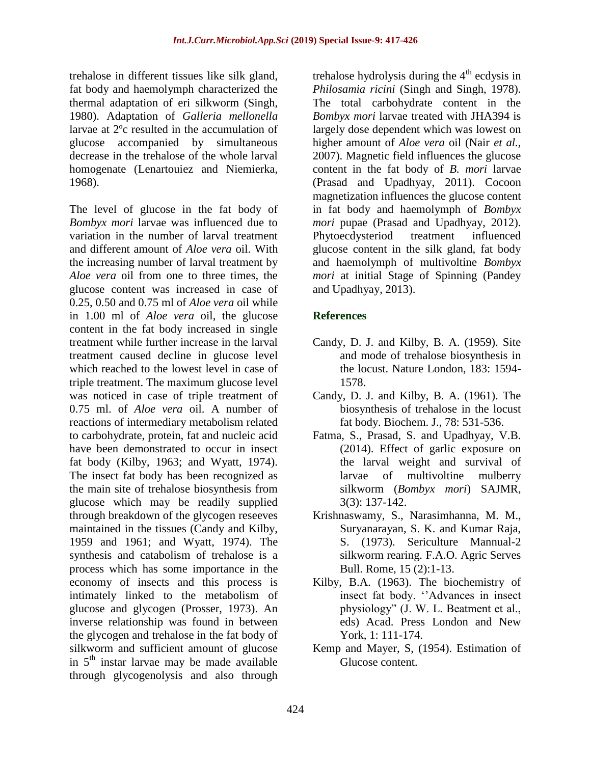trehalose in different tissues like silk gland, fat body and haemolymph characterized the thermal adaptation of eri silkworm (Singh, 1980). Adaptation of *Galleria mellonella* larvae at 2ºc resulted in the accumulation of glucose accompanied by simultaneous decrease in the trehalose of the whole larval homogenate (Lenartouiez and Niemierka, 1968).

The level of glucose in the fat body of *Bombyx mori* larvae was influenced due to variation in the number of larval treatment and different amount of *Aloe vera* oil. With the increasing number of larval treatment by *Aloe vera* oil from one to three times, the glucose content was increased in case of 0.25, 0.50 and 0.75 ml of *Aloe vera* oil while in 1.00 ml of *Aloe vera* oil, the glucose content in the fat body increased in single treatment while further increase in the larval treatment caused decline in glucose level which reached to the lowest level in case of triple treatment. The maximum glucose level was noticed in case of triple treatment of 0.75 ml. of *Aloe vera* oil. A number of reactions of intermediary metabolism related to carbohydrate, protein, fat and nucleic acid have been demonstrated to occur in insect fat body (Kilby, 1963; and Wyatt, 1974). The insect fat body has been recognized as the main site of trehalose biosynthesis from glucose which may be readily supplied through breakdown of the glycogen reseeves maintained in the tissues (Candy and Kilby, 1959 and 1961; and Wyatt, 1974). The synthesis and catabolism of trehalose is a process which has some importance in the economy of insects and this process is intimately linked to the metabolism of glucose and glycogen (Prosser, 1973). An inverse relationship was found in between the glycogen and trehalose in the fat body of silkworm and sufficient amount of glucose in  $5<sup>th</sup>$  instar larvae may be made available through glycogenolysis and also through

trehalose hydrolysis during the  $4<sup>th</sup>$  ecdysis in *Philosamia ricini* (Singh and Singh, 1978). The total carbohydrate content in the *Bombyx mori* larvae treated with JHA394 is largely dose dependent which was lowest on higher amount of *Aloe vera* oil (Nair *et al.,* 2007). Magnetic field influences the glucose content in the fat body of *B. mori* larvae (Prasad and Upadhyay, 2011). Cocoon magnetization influences the glucose content in fat body and haemolymph of *Bombyx mori* pupae (Prasad and Upadhyay, 2012). Phytoecdysteriod treatment influenced glucose content in the silk gland, fat body and haemolymph of multivoltine *Bombyx mori* at initial Stage of Spinning (Pandey and Upadhyay, 2013).

# **References**

- Candy, D. J. and Kilby, B. A. (1959). Site and mode of trehalose biosynthesis in the locust. Nature London, 183: 1594- 1578.
- Candy, D. J. and Kilby, B. A. (1961). The biosynthesis of trehalose in the locust fat body. Biochem. J., 78: 531-536.
- Fatma, S., Prasad, S. and Upadhyay, V.B. (2014). Effect of garlic exposure on the larval weight and survival of larvae of multivoltine mulberry silkworm (*Bombyx mori*) SAJMR, 3(3): 137-142.
- Krishnaswamy, S., Narasimhanna, M. M., Suryanarayan, S. K. and Kumar Raja, S. (1973). Sericulture Mannual-2 silkworm rearing. F.A.O. Agric Serves Bull. Rome, 15 (2):1-13.
- Kilby, B.A. (1963). The biochemistry of insect fat body. "Advances in insect physiology" (J. W. L. Beatment et al., eds) Acad. Press London and New York, 1: 111-174.
- Kemp and Mayer, S, (1954). Estimation of Glucose content.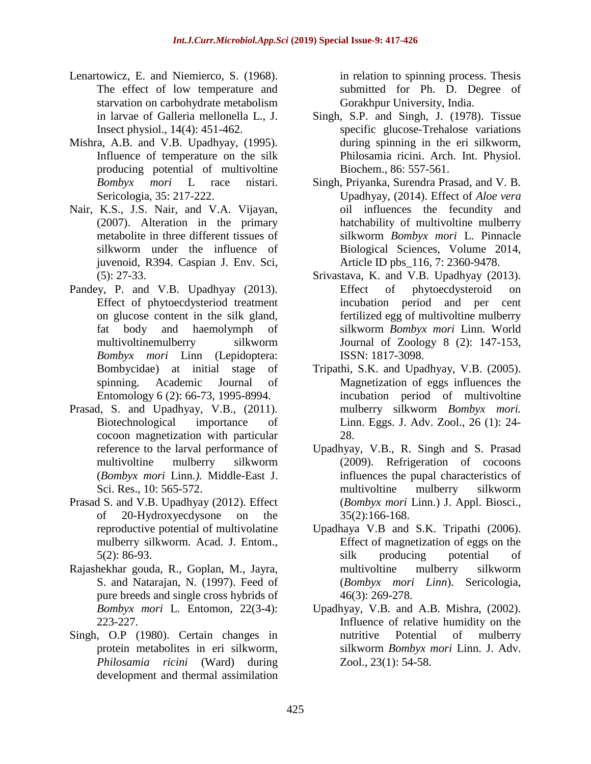- Lenartowicz, E. and Niemierco, S. (1968). The effect of low temperature and starvation on carbohydrate metabolism in larvae of Galleria mellonella L., J. Insect physiol., 14(4): 451-462.
- Mishra, A.B. and V.B. Upadhyay, (1995). Influence of temperature on the silk producing potential of multivoltine *Bombyx mori* L race nistari. Sericologia*,* 35: 217-222.
- Nair, K.S., J.S. Nair, and V.A. Vijayan, (2007). Alteration in the primary metabolite in three different tissues of silkworm under the influence of juvenoid, R394. Caspian J. Env. Sci, (5): 27-33.
- Pandey, P. and V.B. Upadhyay (2013). Effect of phytoecdysteriod treatment on glucose content in the silk gland, fat body and haemolymph of multivoltinemulberry silkworm *Bombyx mori* Linn (Lepidoptera: Bombycidae) at initial stage of spinning. Academic Journal of Entomology 6 (2): 66-73, 1995-8994.
- Prasad, S. and Upadhyay, V.B., (2011). Biotechnological importance of cocoon magnetization with particular reference to the larval performance of multivoltine mulberry silkworm (*Bombyx mori* Linn*.).* Middle-East J. Sci. Res., 10: 565-572.
- Prasad S. and V.B. Upadhyay (2012). Effect of 20-Hydroxyecdysone on the reproductive potential of multivolatine mulberry silkworm. Acad. J. Entom., 5(2): 86-93.
- Rajashekhar gouda, R., Goplan, M., Jayra, S. and Natarajan, N. (1997). Feed of pure breeds and single cross hybrids of *Bombyx mori* L. Entomon, 22(3-4): 223-227.
- Singh, O.P (1980). Certain changes in protein metabolites in eri silkworm, *Philosamia ricini* (Ward) during development and thermal assimilation

in relation to spinning process. Thesis submitted for Ph. D. Degree of Gorakhpur University, India.

- Singh, S.P. and Singh, J. (1978). Tissue specific glucose-Trehalose variations during spinning in the eri silkworm, Philosamia ricini. Arch. Int. Physiol. Biochem., 86: 557-561.
- Singh, Priyanka, Surendra Prasad, and V. B. Upadhyay, (2014). Effect of *Aloe vera* oil influences the fecundity and hatchability of multivoltine mulberry silkworm *Bombyx mori* L. Pinnacle Biological Sciences, Volume 2014, Article ID pbs\_116, 7: 2360-9478.
- Srivastava, K. and V.B. Upadhyay (2013). Effect of phytoecdysteroid on incubation period and per cent fertilized egg of multivoltine mulberry silkworm *Bombyx mori* Linn. World Journal of Zoology 8 (2): 147-153, ISSN: 1817-3098.
- Tripathi, S.K. and Upadhyay, V.B. (2005). Magnetization of eggs influences the incubation period of multivoltine mulberry silkworm *Bombyx mori.* Linn. Eggs. J. Adv. Zool., 26 (1): 24- 28.
- Upadhyay, V.B., R. Singh and S. Prasad (2009). Refrigeration of cocoons influences the pupal characteristics of multivoltine mulberry silkworm (*Bombyx mori* Linn.) J. Appl. Biosci., 35(2):166-168.
- Upadhaya V.B and S.K. Tripathi (2006). Effect of magnetization of eggs on the silk producing potential of multivoltine mulberry silkworm (*Bombyx mori Linn*). Sericologia, 46(3): 269-278.
- Upadhyay, V.B. and A.B. Mishra, (2002). Influence of relative humidity on the nutritive Potential of mulberry silkworm *Bombyx mori* Linn. J. Adv. Zool., 23(1): 54-58.